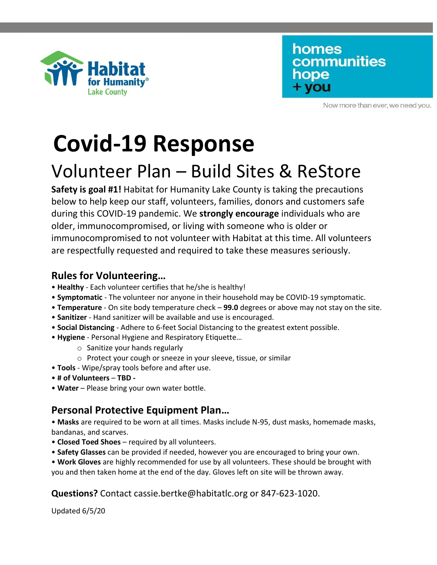

homes communities hope + you

Now more than ever, we need you.

# **Covid-19 Response**

## Volunteer Plan – Build Sites & ReStore

**Safety is goal #1!** Habitat for Humanity Lake County is taking the precautions below to help keep our staff, volunteers, families, donors and customers safe during this COVID-19 pandemic. We **strongly encourage** individuals who are older, immunocompromised, or living with someone who is older or immunocompromised to not volunteer with Habitat at this time. All volunteers are respectfully requested and required to take these measures seriously.

### **Rules for Volunteering…**

- **Healthy**  Each volunteer certifies that he/she is healthy!
- **Symptomatic**  The volunteer nor anyone in their household may be COVID-19 symptomatic.
- **Temperature**  On site body temperature check **99.0** degrees or above may not stay on the site.
- **Sanitizer**  Hand sanitizer will be available and use is encouraged.
- **Social Distancing**  Adhere to 6-feet Social Distancing to the greatest extent possible.
- **Hygiene**  Personal Hygiene and Respiratory Etiquette…
	- o Sanitize your hands regularly
	- o Protect your cough or sneeze in your sleeve, tissue, or similar
- **Tools**  Wipe/spray tools before and after use.
- **# of Volunteers TBD**
- **Water**  Please bring your own water bottle.

#### **Personal Protective Equipment Plan…**

• **Masks** are required to be worn at all times. Masks include N-95, dust masks, homemade masks, bandanas, and scarves.

- **Closed Toed Shoes**  required by all volunteers.
- **Safety Glasses** can be provided if needed, however you are encouraged to bring your own.

• **Work Gloves** are highly recommended for use by all volunteers. These should be brought with you and then taken home at the end of the day. Gloves left on site will be thrown away.

#### **Questions?** Contact cassie.bertke@habitatlc.org or 847-623-1020.

Updated 6/5/20